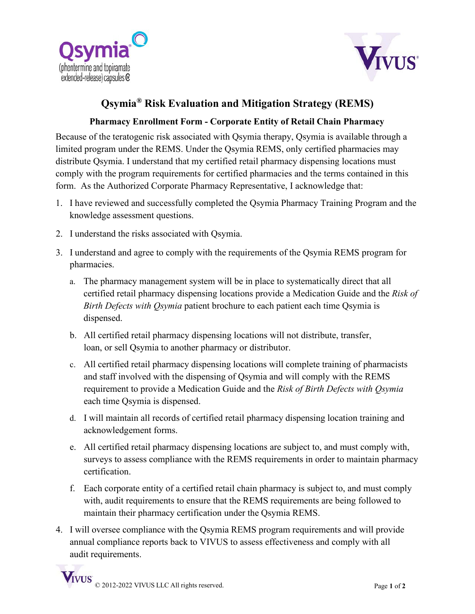



## **Qsymia® Risk Evaluation and Mitigation Strategy (REMS)**

## **Pharmacy Enrollment Form - Corporate Entity of Retail Chain Pharmacy**

Because of the teratogenic risk associated with Qsymia therapy, Qsymia is available through a limited program under the REMS. Under the Qsymia REMS, only certified pharmacies may distribute Qsymia. I understand that my certified retail pharmacy dispensing locations must comply with the program requirements for certified pharmacies and the terms contained in this form. As the Authorized Corporate Pharmacy Representative, I acknowledge that:

- 1. I have reviewed and successfully completed the Qsymia Pharmacy Training Program and the knowledge assessment questions.
- 2. I understand the risks associated with Qsymia.
- 3. I understand and agree to comply with the requirements of the Qsymia REMS program for pharmacies.
	- a. The pharmacy management system will be in place to systematically direct that all certified retail pharmacy dispensing locations provide a Medication Guide and the *Risk of Birth Defects with Qsymia* patient brochure to each patient each time Qsymia is dispensed.
	- b. All certified retail pharmacy dispensing locations will not distribute, transfer, loan, or sell Qsymia to another pharmacy or distributor.
	- c. All certified retail pharmacy dispensing locations will complete training of pharmacists and staff involved with the dispensing of Qsymia and will comply with the REMS requirement to provide a Medication Guide and the *Risk of Birth Defects with Qsymia* each time Qsymia is dispensed.
	- d. I will maintain all records of certified retail pharmacy dispensing location training and acknowledgement forms.
	- e. All certified retail pharmacy dispensing locations are subject to, and must comply with, surveys to assess compliance with the REMS requirements in order to maintain pharmacy certification.
	- f. Each corporate entity of a certified retail chain pharmacy is subject to, and must comply with, audit requirements to ensure that the REMS requirements are being followed to maintain their pharmacy certification under the Qsymia REMS.
- 4. I will oversee compliance with the Qsymia REMS program requirements and will provide annual compliance reports back to VIVUS to assess effectiveness and comply with all audit requirements.